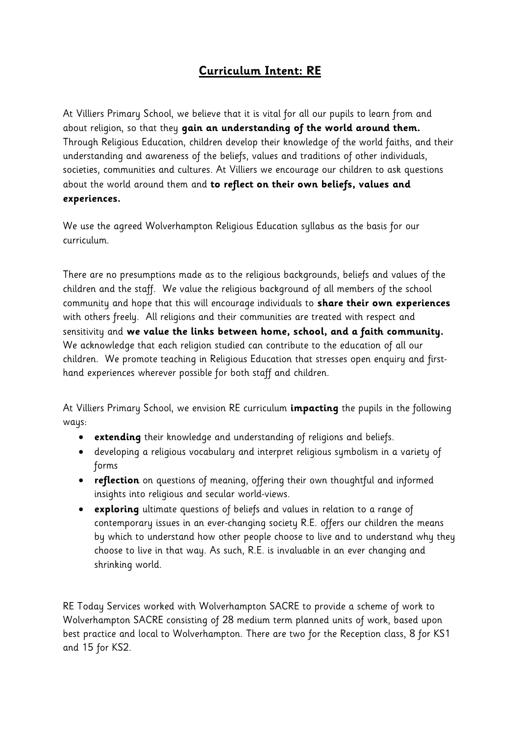# **Curriculum Intent: RE**

At Villiers Primary School, we believe that it is vital for all our pupils to learn from and about religion, so that they **gain an understanding of the world around them.** Through Religious Education, children develop their knowledge of the world faiths, and their understanding and awareness of the beliefs, values and traditions of other individuals, societies, communities and cultures. At Villiers we encourage our children to ask questions about the world around them and **to reflect on their own beliefs, values and experiences.** 

We use the agreed Wolverhampton Religious Education syllabus as the basis for our curriculum.

There are no presumptions made as to the religious backgrounds, beliefs and values of the children and the staff. We value the religious background of all members of the school community and hope that this will encourage individuals to **share their own experiences** with others freely. All religions and their communities are treated with respect and sensitivity and **we value the links between home, school, and a faith community.** We acknowledge that each religion studied can contribute to the education of all our children. We promote teaching in Religious Education that stresses open enquiry and firsthand experiences wherever possible for both staff and children.

At Villiers Primary School, we envision RE curriculum **impacting** the pupils in the following ways:

- **extending** their knowledge and understanding of religions and beliefs.
- developing a religious vocabulary and interpret religious symbolism in a variety of forms
- **reflection** on questions of meaning, offering their own thoughtful and informed insights into religious and secular world-views.
- **exploring** ultimate questions of beliefs and values in relation to a range of contemporary issues in an ever-changing society R.E. offers our children the means by which to understand how other people choose to live and to understand why they choose to live in that way. As such, R.E. is invaluable in an ever changing and shrinking world.

RE Today Services worked with Wolverhampton SACRE to provide a scheme of work to Wolverhampton SACRE consisting of 28 medium term planned units of work, based upon best practice and local to Wolverhampton. There are two for the Reception class, 8 for KS1 and 15 for KS2.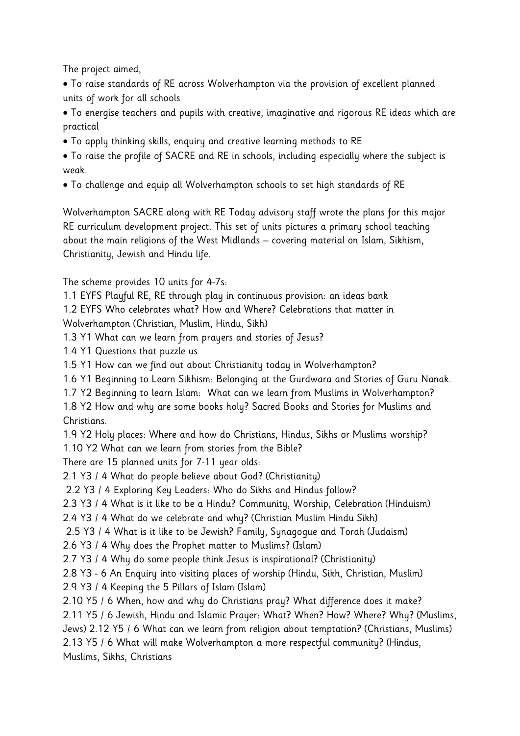The project aimed,

 To raise standards of RE across Wolverhampton via the provision of excellent planned units of work for all schools

 To energise teachers and pupils with creative, imaginative and rigorous RE ideas which are practical

To apply thinking skills, enquiry and creative learning methods to RE

 To raise the profile of SACRE and RE in schools, including especially where the subject is weak.

To challenge and equip all Wolverhampton schools to set high standards of RE

Wolverhampton SACRE along with RE Today advisory staff wrote the plans for this major RE curriculum development project. This set of units pictures a primary school teaching about the main religions of the West Midlands – covering material on Islam, Sikhism, Christianity, Jewish and Hindu life.

The scheme provides 10 units for 4-7s:

1.1 EYFS Playful RE, RE through play in continuous provision: an ideas bank

1.2 EYFS Who celebrates what? How and Where? Celebrations that matter in Wolverhampton (Christian, Muslim, Hindu, Sikh)

1.3 Y1 What can we learn from prayers and stories of Jesus?

1.4 Y1 Questions that puzzle us

- 1.5 Y1 How can we find out about Christianity today in Wolverhampton?
- 1.6 Y1 Beginning to Learn Sikhism: Belonging at the Gurdwara and Stories of Guru Nanak.
- 1.7 Y2 Beginning to learn Islam: What can we learn from Muslims in Wolverhampton?

1.8 Y2 How and why are some books holy? Sacred Books and Stories for Muslims and Christians.

1.9 Y2 Holy places: Where and how do Christians, Hindus, Sikhs or Muslims worship?

1.10 Y2 What can we learn from stories from the Bible?

There are 15 planned units for 7-11 year olds:

2.1 Y3 / 4 What do people believe about God? (Christianity)

2.2 Y3 / 4 Exploring Key Leaders: Who do Sikhs and Hindus follow?

2.3 Y3 / 4 What is it like to be a Hindu? Community, Worship, Celebration (Hinduism)

2.4 Y3 / 4 What do we celebrate and why? (Christian Muslim Hindu Sikh)

2.5 Y3 / 4 What is it like to be Jewish? Family, Synagogue and Torah (Judaism)

2.6 Y3 / 4 Why does the Prophet matter to Muslims? (Islam)

2.7 Y3 / 4 Why do some people think Jesus is inspirational? (Christianity)

2.8 Y3 - 6 An Enquiry into visiting places of worship (Hindu, Sikh, Christian, Muslim) 2.9 Y3 / 4 Keeping the 5 Pillars of Islam (Islam)

2.10 Y5 / 6 When, how and why do Christians pray? What difference does it make?

2.11 Y5 / 6 Jewish, Hindu and Islamic Prayer: What? When? How? Where? Why? (Muslims,

Jews) 2.12 Y5 / 6 What can we learn from religion about temptation? (Christians, Muslims)

2.13 Y5 / 6 What will make Wolverhampton a more respectful community? (Hindus,

Muslims, Sikhs, Christians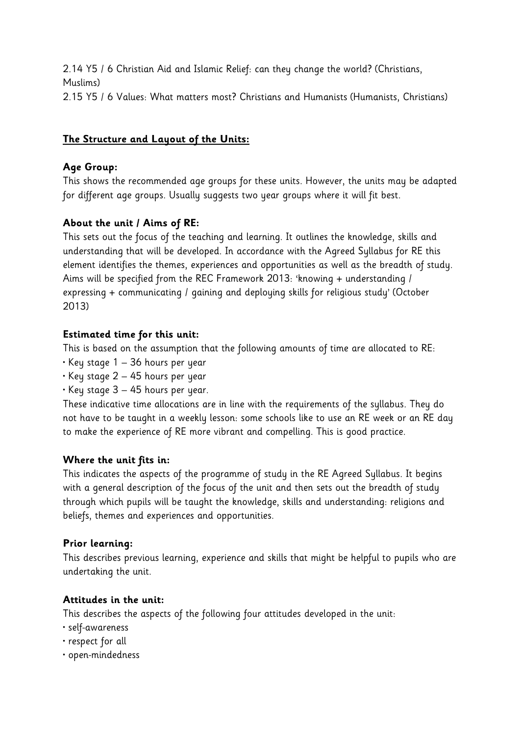2.14 Y5 / 6 Christian Aid and Islamic Relief: can they change the world? (Christians, Muslims) 2.15 Y5 / 6 Values: What matters most? Christians and Humanists (Humanists, Christians)

## **The Structure and Layout of the Units:**

## **Age Group:**

This shows the recommended age groups for these units. However, the units may be adapted for different age groups. Usually suggests two year groups where it will fit best.

## **About the unit / Aims of RE:**

This sets out the focus of the teaching and learning. It outlines the knowledge, skills and understanding that will be developed. In accordance with the Agreed Syllabus for RE this element identifies the themes, experiences and opportunities as well as the breadth of study. Aims will be specified from the REC Framework 2013: 'knowing + understanding / expressing + communicating / gaining and deploying skills for religious study' (October 2013)

## **Estimated time for this unit:**

This is based on the assumption that the following amounts of time are allocated to RE:

- Key stage 1 36 hours per year
- Key stage 2 45 hours per year
- $\cdot$  Key stage 3 45 hours per year.

These indicative time allocations are in line with the requirements of the syllabus. They do not have to be taught in a weekly lesson: some schools like to use an RE week or an RE day to make the experience of RE more vibrant and compelling. This is good practice.

## **Where the unit fits in:**

This indicates the aspects of the programme of study in the RE Agreed Syllabus. It begins with a general description of the focus of the unit and then sets out the breadth of study through which pupils will be taught the knowledge, skills and understanding: religions and beliefs, themes and experiences and opportunities.

## **Prior learning:**

This describes previous learning, experience and skills that might be helpful to pupils who are undertaking the unit.

#### **Attitudes in the unit:**

This describes the aspects of the following four attitudes developed in the unit:

- self-awareness
- respect for all
- open-mindedness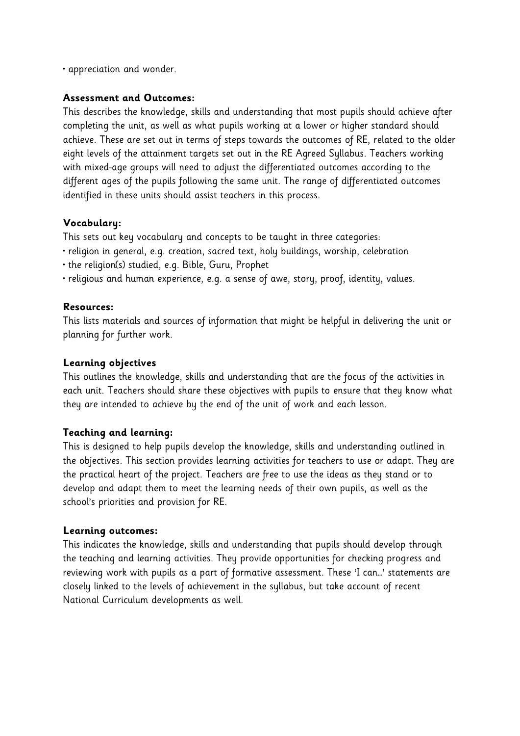• appreciation and wonder.

#### **Assessment and Outcomes:**

This describes the knowledge, skills and understanding that most pupils should achieve after completing the unit, as well as what pupils working at a lower or higher standard should achieve. These are set out in terms of steps towards the outcomes of RE, related to the older eight levels of the attainment targets set out in the RE Agreed Syllabus. Teachers working with mixed-age groups will need to adjust the differentiated outcomes according to the different ages of the pupils following the same unit. The range of differentiated outcomes identified in these units should assist teachers in this process.

## **Vocabulary:**

This sets out key vocabulary and concepts to be taught in three categories:

- religion in general, e.g. creation, sacred text, holy buildings, worship, celebration
- the religion(s) studied, e.g. Bible, Guru, Prophet
- religious and human experience, e.g. a sense of awe, story, proof, identity, values.

#### **Resources:**

This lists materials and sources of information that might be helpful in delivering the unit or planning for further work.

#### **Learning objectives**

This outlines the knowledge, skills and understanding that are the focus of the activities in each unit. Teachers should share these objectives with pupils to ensure that they know what they are intended to achieve by the end of the unit of work and each lesson.

#### **Teaching and learning:**

This is designed to help pupils develop the knowledge, skills and understanding outlined in the objectives. This section provides learning activities for teachers to use or adapt. They are the practical heart of the project. Teachers are free to use the ideas as they stand or to develop and adapt them to meet the learning needs of their own pupils, as well as the school's priorities and provision for RE.

#### **Learning outcomes:**

This indicates the knowledge, skills and understanding that pupils should develop through the teaching and learning activities. They provide opportunities for checking progress and reviewing work with pupils as a part of formative assessment. These 'I can…' statements are closely linked to the levels of achievement in the syllabus, but take account of recent National Curriculum developments as well.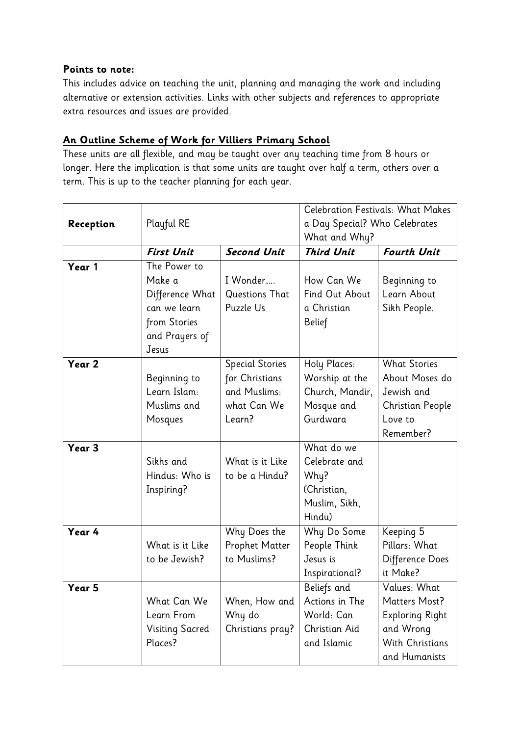## **Points to note:**

This includes advice on teaching the unit, planning and managing the work and including alternative or extension activities. Links with other subjects and references to appropriate extra resources and issues are provided.

## **An Outline Scheme of Work for Villiers Primary School**

These units are all flexible, and may be taught over any teaching time from 8 hours or longer. Here the implication is that some units are taught over half a term, others over a term. This is up to the teacher planning for each year.

|           | Playful RE             |                        | <b>Celebration Festivals: What Makes</b><br>a Day Special? Who Celebrates |                        |
|-----------|------------------------|------------------------|---------------------------------------------------------------------------|------------------------|
| Reception |                        |                        |                                                                           |                        |
|           |                        |                        | What and Why?                                                             |                        |
|           | <b>First Unit</b>      | <b>Second Unit</b>     | <b>Third Unit</b>                                                         | <b>Fourth Unit</b>     |
| Year 1    | The Power to           |                        |                                                                           |                        |
|           | Make a                 | I Wonder               | How Can We                                                                | Beginning to           |
|           | Difference What        | Questions That         | Find Out About                                                            | Learn About            |
|           | can we learn           | Puzzle Us              | a Christian                                                               | Sikh People.           |
|           | from Stories           |                        | Belief                                                                    |                        |
|           | and Prayers of         |                        |                                                                           |                        |
|           | Jesus                  |                        |                                                                           |                        |
| Year 2    |                        | <b>Special Stories</b> | Holy Places:                                                              | <b>What Stories</b>    |
|           | Beginning to           | for Christians         | Worship at the                                                            | About Moses do         |
|           | Learn Islam:           | and Muslims:           | Church, Mandir,                                                           | Jewish and             |
|           | Muslims and            | what Can We            | Mosque and                                                                | Christian People       |
|           | Mosques                | Learn?                 | Gurdwara                                                                  | Love to                |
|           |                        |                        |                                                                           | Remember?              |
| Year 3    |                        |                        | What do we                                                                |                        |
|           | Sikhs and              | What is it Like        | Celebrate and                                                             |                        |
|           | Hindus: Who is         | to be a Hindu?         | Why?                                                                      |                        |
|           | Inspiring?             |                        | (Christian,                                                               |                        |
|           |                        |                        | Muslim, Sikh,                                                             |                        |
|           |                        |                        | Hindu)                                                                    |                        |
| Year 4    |                        | Why Does the           | Why Do Some                                                               | Keeping 5              |
|           | What is it Like        | <b>Prophet Matter</b>  | People Think                                                              | Pillars: What          |
|           | to be Jewish?          | to Muslims?            | Jesus is                                                                  | Difference Does        |
|           |                        |                        | Inspirational?                                                            | it Make?               |
| Year 5    |                        |                        | Beliefs and                                                               | Values: What           |
|           | What Can We            | When, How and          | Actions in The                                                            | <b>Matters Most?</b>   |
|           | Learn From             | Why do                 | World: Can                                                                | <b>Exploring Right</b> |
|           | <b>Visiting Sacred</b> | Christians pray?       | Christian Aid                                                             | and Wrong              |
|           | Places?                |                        | and Islamic                                                               | With Christians        |
|           |                        |                        |                                                                           | and Humanists          |